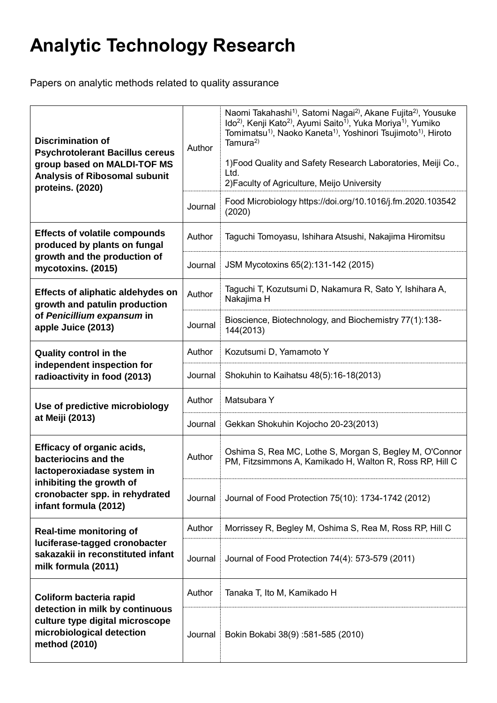## **Analytic Technology Research**

Papers on analytic methods related to quality assurance

| <b>Discrimination of</b><br><b>Psychrotolerant Bacillus cereus</b><br>group based on MALDI-TOF MS<br><b>Analysis of Ribosomal subunit</b><br>proteins. (2020)                                                        | Author  | Naomi Takahashi <sup>1)</sup> , Satomi Nagai <sup>2)</sup> , Akane Fujita <sup>2)</sup> , Yousuke<br>Ido <sup>2)</sup> , Kenji Kato <sup>2)</sup> , Ayumi Saito <sup>1)</sup> , Yuka Moriya <sup>1)</sup> , Yumiko<br>Tomimatsu <sup>1)</sup> , Naoko Kaneta <sup>1)</sup> , Yoshinori Tsujimoto <sup>1)</sup> , Hiroto<br>Tamura <sup>2)</sup><br>1) Food Quality and Safety Research Laboratories, Meiji Co.,<br>Ltd.<br>2) Faculty of Agriculture, Meijo University |
|----------------------------------------------------------------------------------------------------------------------------------------------------------------------------------------------------------------------|---------|------------------------------------------------------------------------------------------------------------------------------------------------------------------------------------------------------------------------------------------------------------------------------------------------------------------------------------------------------------------------------------------------------------------------------------------------------------------------|
| <b>Effects of volatile compounds</b><br>produced by plants on fungal                                                                                                                                                 | Journal | Food Microbiology https://doi.org/10.1016/j.fm.2020.103542<br>(2020)                                                                                                                                                                                                                                                                                                                                                                                                   |
|                                                                                                                                                                                                                      | Author  | Taguchi Tomoyasu, Ishihara Atsushi, Nakajima Hiromitsu                                                                                                                                                                                                                                                                                                                                                                                                                 |
| growth and the production of<br>mycotoxins. (2015)<br><b>Effects of aliphatic aldehydes on</b><br>growth and patulin production<br>of Penicillium expansum in<br>apple Juice (2013)<br><b>Quality control in the</b> | Journal | JSM Mycotoxins 65(2):131-142 (2015)                                                                                                                                                                                                                                                                                                                                                                                                                                    |
|                                                                                                                                                                                                                      | Author  | Taguchi T, Kozutsumi D, Nakamura R, Sato Y, Ishihara A,<br>Nakajima H                                                                                                                                                                                                                                                                                                                                                                                                  |
|                                                                                                                                                                                                                      | Journal | Bioscience, Biotechnology, and Biochemistry 77(1):138-<br>144(2013)                                                                                                                                                                                                                                                                                                                                                                                                    |
|                                                                                                                                                                                                                      | Author  | Kozutsumi D, Yamamoto Y                                                                                                                                                                                                                                                                                                                                                                                                                                                |
| independent inspection for<br>radioactivity in food (2013)                                                                                                                                                           | Journal | Shokuhin to Kaihatsu 48(5):16-18(2013)                                                                                                                                                                                                                                                                                                                                                                                                                                 |
| Use of predictive microbiology                                                                                                                                                                                       | Author  | Matsubara Y                                                                                                                                                                                                                                                                                                                                                                                                                                                            |
| at Meiji (2013)                                                                                                                                                                                                      | Journal | Gekkan Shokuhin Kojocho 20-23(2013)                                                                                                                                                                                                                                                                                                                                                                                                                                    |
| <b>Efficacy of organic acids,</b><br>bacteriocins and the<br>lactoperoxiadase system in                                                                                                                              | Author  | Oshima S, Rea MC, Lothe S, Morgan S, Begley M, O'Connor<br>PM, Fitzsimmons A, Kamikado H, Walton R, Ross RP, Hill C                                                                                                                                                                                                                                                                                                                                                    |
| inhibiting the growth of<br>cronobacter spp. in rehydrated<br>infant formula (2012)                                                                                                                                  | Journal | Journal of Food Protection 75(10): 1734-1742 (2012)                                                                                                                                                                                                                                                                                                                                                                                                                    |
| <b>Real-time monitoring of</b><br>luciferase-tagged cronobacter<br>sakazakii in reconstituted infant<br>milk formula (2011)                                                                                          | Author  | Morrissey R, Begley M, Oshima S, Rea M, Ross RP, Hill C                                                                                                                                                                                                                                                                                                                                                                                                                |
|                                                                                                                                                                                                                      | Journal | Journal of Food Protection 74(4): 573-579 (2011)                                                                                                                                                                                                                                                                                                                                                                                                                       |
| Coliform bacteria rapid<br>detection in milk by continuous<br>culture type digital microscope<br>microbiological detection<br>method (2010)                                                                          | Author  | Tanaka T, Ito M, Kamikado H                                                                                                                                                                                                                                                                                                                                                                                                                                            |
|                                                                                                                                                                                                                      | Journal | Bokin Bokabi 38(9):581-585 (2010)                                                                                                                                                                                                                                                                                                                                                                                                                                      |